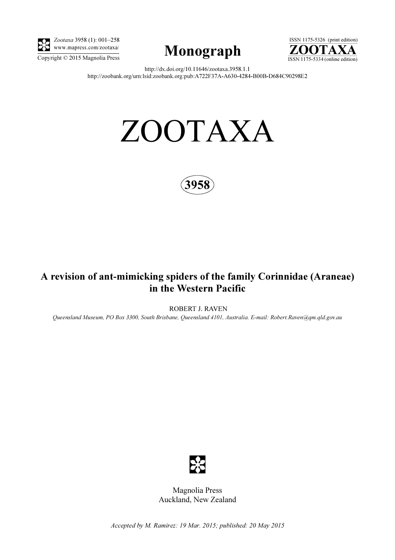

Zootaxa 3958 (1): 001–258 www.mapress.com/zootaxa/





http://dx.doi.org/10.11646/zootaxa.3958.1.1 http://zoobank.org/urn:lsid:zoobank.org:pub:A722F37A-A630-4284-B00B-D684C90298E2

# ZOOTAXA



# A revision of ant-mimicking spiders of the family Corinnidae (Araneae) in the Western Pacific

ROBERT J. RAVEN

Queensland Museum, PO Box 3300, South Brisbane, Queensland 4101, Australia. E-mail: Robert.Raven@qm.qld.gov.au



Magnolia Press Auckland, New Zealand

Accepted by M. Ramirez: 19 Mar. 2015; published: 20 May 2015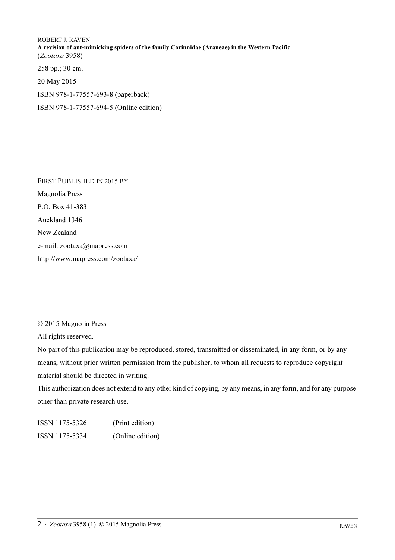ROBERT J. RAVEN A revision of ant-mimicking spiders of the family Corinnidae (Araneae) in the Western Pacific (Zootaxa 3958)

258 pp.; 30 cm.

20 May 2015

ISBN 978-1-77557-693-8 (paperback)

ISBN 978-1-77557-694-5 (Online edition)

FIRST PUBLISHED IN 2015 BY Magnolia Press P.O. Box 41-383 Auckland 1346 New Zealand e-mail: zootaxa@mapress.com http://www.mapress.com/zootaxa/

© 2015 Magnolia Press

All rights reserved.

No part of this publication may be reproduced, stored, transmitted or disseminated, in any form, or by any means, without prior written permission from the publisher, to whom all requests to reproduce copyright material should be directed in writing.

This authorization does not extend to any other kind of copying, by any means, in any form, and for any purpose other than private research use.

ISSN 1175-5326 (Print edition) ISSN 1175-5334 (Online edition)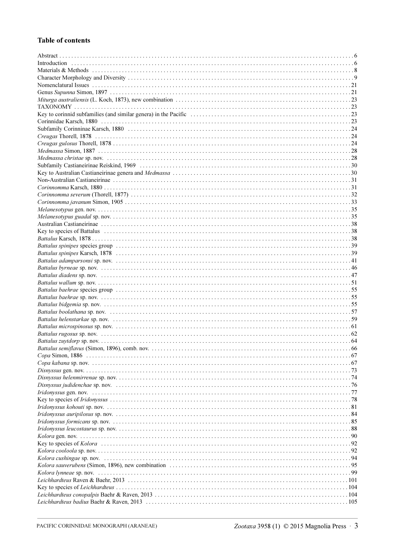## **Table of contents**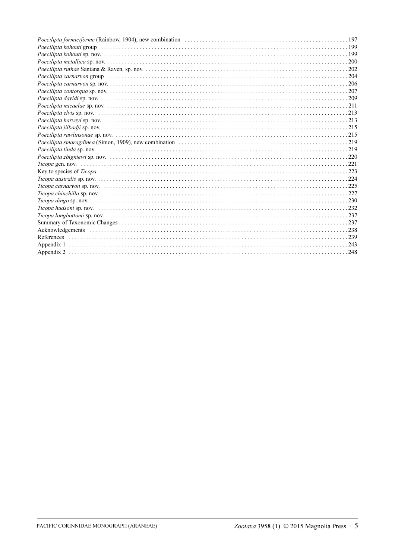| Poecilipta kohouti group (all contained all contained all contained a series and the contained a series of 199 |
|----------------------------------------------------------------------------------------------------------------|
|                                                                                                                |
|                                                                                                                |
|                                                                                                                |
|                                                                                                                |
|                                                                                                                |
|                                                                                                                |
|                                                                                                                |
|                                                                                                                |
|                                                                                                                |
|                                                                                                                |
|                                                                                                                |
|                                                                                                                |
|                                                                                                                |
|                                                                                                                |
|                                                                                                                |
|                                                                                                                |
|                                                                                                                |
|                                                                                                                |
|                                                                                                                |
|                                                                                                                |
|                                                                                                                |
|                                                                                                                |
|                                                                                                                |
|                                                                                                                |
|                                                                                                                |
|                                                                                                                |
|                                                                                                                |
|                                                                                                                |